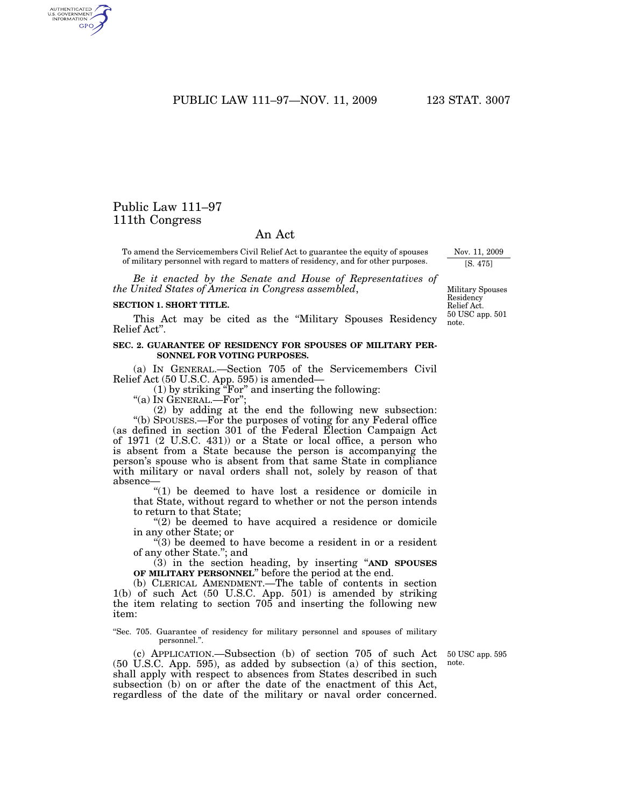PUBLIC LAW 111–97—NOV. 11, 2009 123 STAT. 3007

# Public Law 111–97 111th Congress

## An Act

To amend the Servicemembers Civil Relief Act to guarantee the equity of spouses of military personnel with regard to matters of residency, and for other purposes.

*Be it enacted by the Senate and House of Representatives of the United States of America in Congress assembled*,

#### **SECTION 1. SHORT TITLE.**

This Act may be cited as the ''Military Spouses Residency Relief Act''.

#### **SEC. 2. GUARANTEE OF RESIDENCY FOR SPOUSES OF MILITARY PER-SONNEL FOR VOTING PURPOSES.**

(a) IN GENERAL.—Section 705 of the Servicemembers Civil Relief Act (50 U.S.C. App. 595) is amended—

 $(1)$  by striking "For" and inserting the following:

''(a) IN GENERAL.—For'';

(2) by adding at the end the following new subsection: ''(b) SPOUSES.—For the purposes of voting for any Federal office (as defined in section 301 of the Federal Election Campaign Act of 1971 (2 U.S.C. 431)) or a State or local office, a person who is absent from a State because the person is accompanying the person's spouse who is absent from that same State in compliance with military or naval orders shall not, solely by reason of that absence—

''(1) be deemed to have lost a residence or domicile in that State, without regard to whether or not the person intends to return to that State;

"(2) be deemed to have acquired a residence or domicile" in any other State; or

''(3) be deemed to have become a resident in or a resident of any other State.''; and

(3) in the section heading, by inserting ''**AND SPOUSES OF MILITARY PERSONNEL**'' before the period at the end.

(b) CLERICAL AMENDMENT.—The table of contents in section 1(b) of such Act (50 U.S.C. App. 501) is amended by striking the item relating to section 705 and inserting the following new item:

''Sec. 705. Guarantee of residency for military personnel and spouses of military personnel.''.

(c) APPLICATION.—Subsection (b) of section 705 of such Act (50 U.S.C. App. 595), as added by subsection (a) of this section, shall apply with respect to absences from States described in such subsection (b) on or after the date of the enactment of this Act, regardless of the date of the military or naval order concerned.

50 USC app. 595 note.

Military Spouses Residency Relief Act. 50 USC app. 501 note.

Nov. 11, 2009 [S. 475]

AUTHENTICATED<br>U.S. GOVERNMENT<br>INFORMATION **GPO**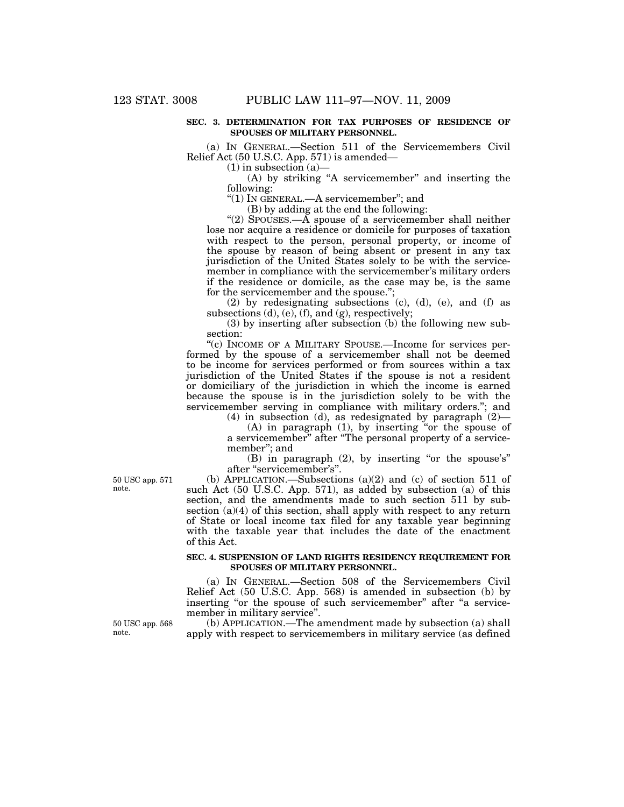#### **SEC. 3. DETERMINATION FOR TAX PURPOSES OF RESIDENCE OF SPOUSES OF MILITARY PERSONNEL.**

(a) IN GENERAL.—Section 511 of the Servicemembers Civil Relief Act (50 U.S.C. App. 571) is amended—

 $(1)$  in subsection  $(a)$ —

(A) by striking ''A servicemember'' and inserting the following:

''(1) IN GENERAL.—A servicemember''; and

(B) by adding at the end the following:

"(2) SPOUSES.— $\overline{A}$  spouse of a servicemember shall neither lose nor acquire a residence or domicile for purposes of taxation with respect to the person, personal property, or income of the spouse by reason of being absent or present in any tax jurisdiction of the United States solely to be with the servicemember in compliance with the servicemember's military orders if the residence or domicile, as the case may be, is the same for the servicemember and the spouse.'';

(2) by redesignating subsections (c), (d), (e), and (f) as subsections  $(d)$ ,  $(e)$ ,  $(f)$ , and  $(g)$ , respectively;

(3) by inserting after subsection (b) the following new subsection:

''(c) INCOME OF A MILITARY SPOUSE.—Income for services performed by the spouse of a servicemember shall not be deemed to be income for services performed or from sources within a tax jurisdiction of the United States if the spouse is not a resident or domiciliary of the jurisdiction in which the income is earned because the spouse is in the jurisdiction solely to be with the servicemember serving in compliance with military orders."; and

(4) in subsection (d), as redesignated by paragraph (2)—  $(A)$  in paragraph  $(1)$ , by inserting "or the spouse of a servicemember'' after ''The personal property of a service-

member''; and (B) in paragraph (2), by inserting "or the spouse's" after ''servicemember's''.

50 USC app. 571 note.

(b) APPLICATION.—Subsections (a)(2) and (c) of section 511 of such Act (50 U.S.C. App. 571), as added by subsection (a) of this section, and the amendments made to such section 511 by subsection  $(a)(4)$  of this section, shall apply with respect to any return of State or local income tax filed for any taxable year beginning with the taxable year that includes the date of the enactment of this Act.

### **SEC. 4. SUSPENSION OF LAND RIGHTS RESIDENCY REQUIREMENT FOR SPOUSES OF MILITARY PERSONNEL.**

(a) IN GENERAL.—Section 508 of the Servicemembers Civil Relief Act (50 U.S.C. App. 568) is amended in subsection (b) by inserting "or the spouse of such servicemember" after "a servicemember in military service''.

(b) APPLICATION.—The amendment made by subsection (a) shall apply with respect to servicemembers in military service (as defined

50 USC app. 568 note.